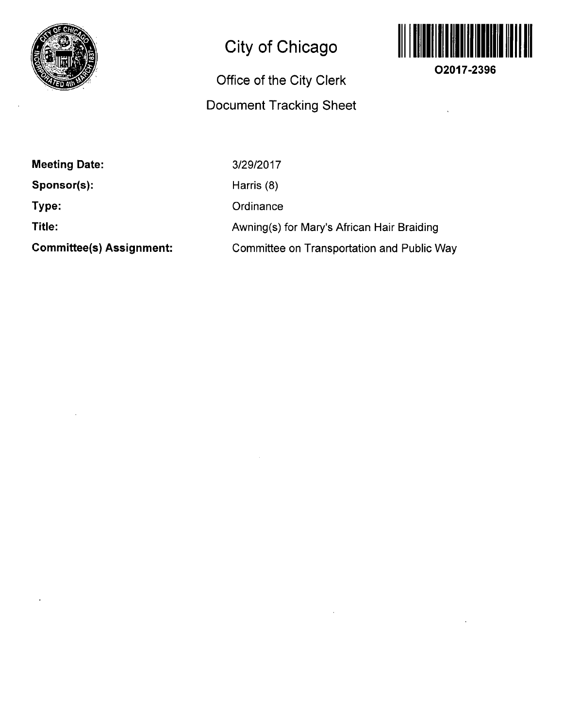

## **City of Chicago**

## **Office of the City Clerk Document Tracking Sheet**



**O2017-2396** 

**Meeting Date:** 

**Sponsor(s):** 

**Type:** 

**Title:** 

**Commlttee(s) Assignment:** 

3/29/2017

Harris (8)

**Ordinance** 

Awning(s) for Mary's African Hair Braiding

Committee on Transportation and Public Way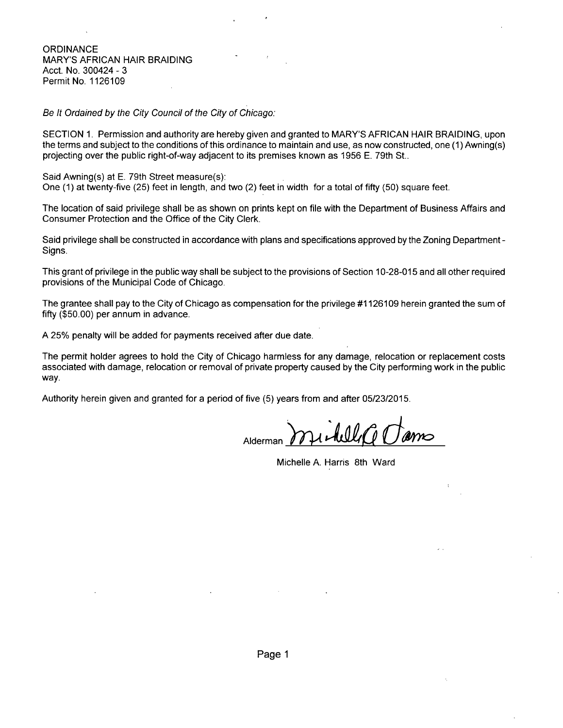**ORDINANCE** MARY'S AFRICAN HAIR BRAIDING Acct. No. 300424 - 3 Permit No. 1126109

Se It Ordained by the City Council of the City of Chicago:

SECTION 1. Permission and authority are hereby given and granted to MARY'S AFRICAN HAIR BRAIDING, upon the terms and subject to the conditions of this ordinance to maintain and use, as now constructed, one (1) Awning(s) projecting over the public right-of-way adjacent to its premises known as 1956 E. 79th St..

Said Awning(s) at E. 79th Street measure(s): One (1) at twenty-five (25) feet in length, and two (2) feet in width for a total of fifty (50) square feet.

The location of said privilege shall be as shown on prints kept on file with the Department of Business Affairs and Consumer Protection and the Office of the City Clerk.

Said privilege shall be constructed in accordance with plans and specifications approved by the Zoning Department - Signs.

This grant of privilege in the public way shall be subject to the provisions of Section 10-28-015 and all other required provisions of the Municipal Code of Chicago.

The grantee shall pay to the City of Chicago as compensation for the privilege #1126109 herein granted the sum of fifty (\$50.00) per annum in advance.

A 25% penalty will be added for payments received after due date.

The permit holder agrees to hold the City of Chicago harmless for any damage, relocation or replacement costs associated with damage, relocation or removal of private property caused by the City performing work in the public way.

Authority herein given and granted for a period of five (5) years from and after 05/23/2015.

Alderman

Michelle A. Harris 8th Ward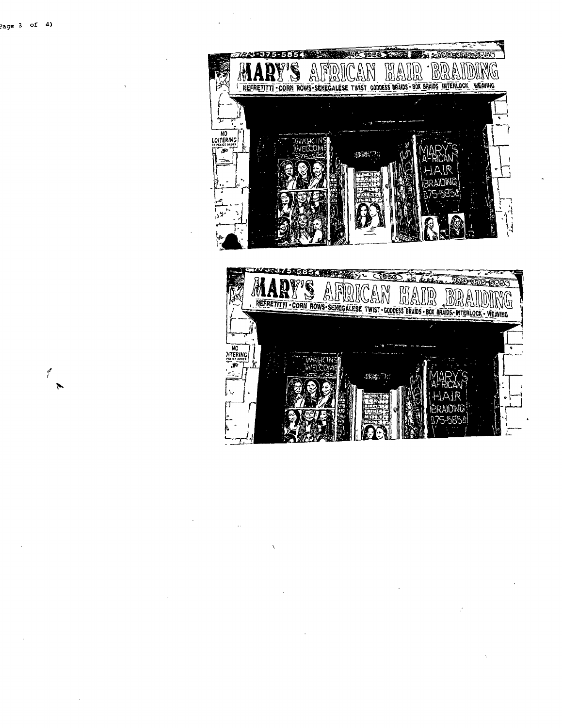$\boldsymbol{t}^{\prime}$